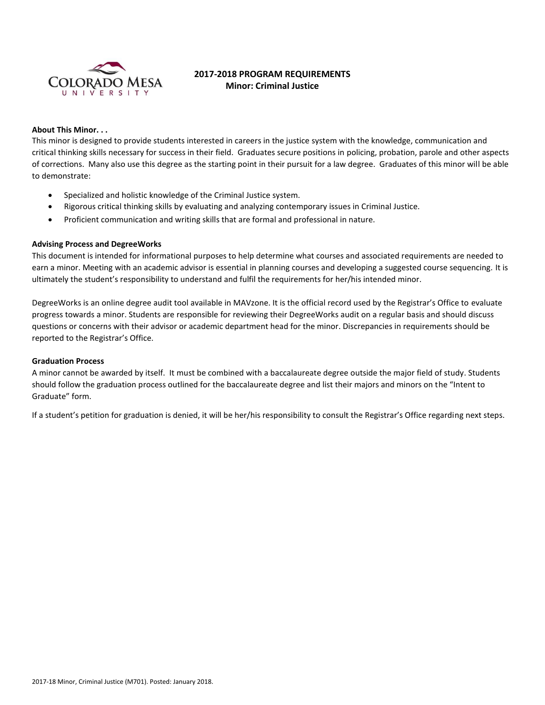

# **2017-2018 PROGRAM REQUIREMENTS Minor: Criminal Justice**

## **About This Minor. . .**

This minor is designed to provide students interested in careers in the justice system with the knowledge, communication and critical thinking skills necessary for success in their field. Graduates secure positions in policing, probation, parole and other aspects of corrections. Many also use this degree as the starting point in their pursuit for a law degree. Graduates of this minor will be able to demonstrate:

- Specialized and holistic knowledge of the Criminal Justice system.
- Rigorous critical thinking skills by evaluating and analyzing contemporary issues in Criminal Justice.
- Proficient communication and writing skills that are formal and professional in nature.

## **Advising Process and DegreeWorks**

This document is intended for informational purposes to help determine what courses and associated requirements are needed to earn a minor. Meeting with an academic advisor is essential in planning courses and developing a suggested course sequencing. It is ultimately the student's responsibility to understand and fulfil the requirements for her/his intended minor.

DegreeWorks is an online degree audit tool available in MAVzone. It is the official record used by the Registrar's Office to evaluate progress towards a minor. Students are responsible for reviewing their DegreeWorks audit on a regular basis and should discuss questions or concerns with their advisor or academic department head for the minor. Discrepancies in requirements should be reported to the Registrar's Office.

## **Graduation Process**

A minor cannot be awarded by itself. It must be combined with a baccalaureate degree outside the major field of study. Students should follow the graduation process outlined for the baccalaureate degree and list their majors and minors on the "Intent to Graduate" form.

If a student's petition for graduation is denied, it will be her/his responsibility to consult the Registrar's Office regarding next steps.